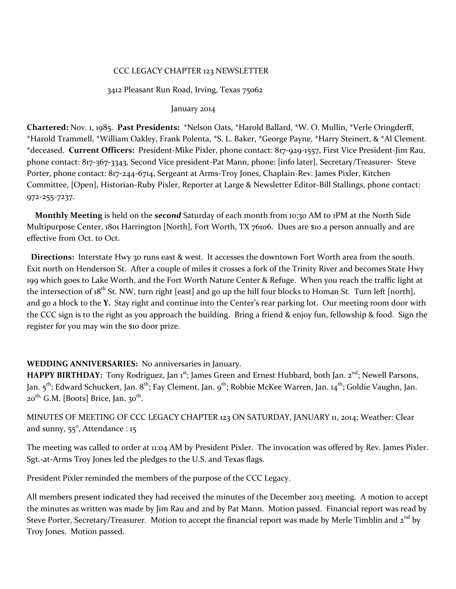#### CCC LEGACY CHAPTER 123 NEWSLETTER

#### 3412 Pleasant Run Road, Irving, Texas 75062

#### January 2014

**Chartered:** Nov. 1, 1985. **Past Presidents:** \*Nelson Oats, \*Harold Ballard, \*W. O. Mullin, \*Verle Oringderff, \*Harold Trammell, \*William Oakley, Frank Polenta, \*S. L. Baker, \*George Payne, \*Harry Steinert, & \*Al Clement. \*deceased. **Current Officers:** President-Mike Pixler, phone contact: 817-929-1557, First Vice President-Jim Rau, phone contact: 817-367-3343, Second Vice president-Pat Mann, phone: [info later], Secretary/Treasurer- Steve Porter, phone contact: 817-244-6714, Sergeant at Arms-Troy Jones, Chaplain-Rev. James Pixler, Kitchen Committee, [Open], Historian-Ruby Pixler, Reporter at Large & Newsletter Editor-Bill Stallings, phone contact: 972-255-7237.

 **Monthly Meeting** is held on the *second* Saturday of each month from 10:30 AM to 1PM at the North Side Multipurpose Center, 1801 Harrington [North], Fort Worth, TX 76106. Dues are \$10 a person annually and are effective from Oct. to Oct.

 **Directions:** Interstate Hwy 30 runs east & west. It accesses the downtown Fort Worth area from the south. Exit north on Henderson St. After a couple of miles it crosses a fork of the Trinity River and becomes State Hwy 199 which goes to Lake Worth, and the Fort Worth Nature Center & Refuge. When you reach the traffic light at the intersection of  $18^{th}$  St. NW, turn right [east] and go up the hill four blocks to Homan St. Turn left [north], and go a block to the **Y.** Stay right and continue into the Center's rear parking lot. Our meeting room door with the CCC sign is to the right as you approach the building. Bring a friend & enjoy fun, fellowship & food. Sign the register for you may win the \$10 door prize.

#### **WEDDING ANNIVERSARIES:** No anniversaries in January.

**HAPPY BIRTHDAY:** Tony Rodriguez, Jan 1<sup>st</sup>; James Green and Ernest Hubbard, both Jan. 2<sup>nd</sup>; Newell Parsons, Jan. 5<sup>th</sup>; Edward Schuckert, Jan. 8<sup>th</sup>; Fay Clement, Jan. 9<sup>th</sup>; Robbie McKee Warren, Jan. 14<sup>th</sup>; Goldie Vaughn, Jan. 20<sup>th,</sup> G.M. [Boots] Brice, Jan. 30<sup>th</sup>.

MINUTES OF MEETING OF CCC LEGACY CHAPTER 123 ON SATURDAY, JANUARY 11, 2014; Weather: Clear and sunny,  $55^{\circ}$ , Attendance : 15

The meeting was called to order at 11:04 AM by President Pixler. The invocation was offered by Rev. James Pixler. Sgt.-at-Arms Troy Jones led the pledges to the U.S. and Texas flags.

President Pixler reminded the members of the purpose of the CCC Legacy.

All members present indicated they had received the minutes of the December 2013 meeting. A motion to accept the minutes as written was made by Jim Rau and 2nd by Pat Mann. Motion passed. Financial report was read by Steve Porter, Secretary/Treasurer. Motion to accept the financial report was made by Merle Timblin and  $2^{nd}$  by Troy Jones. Motion passed.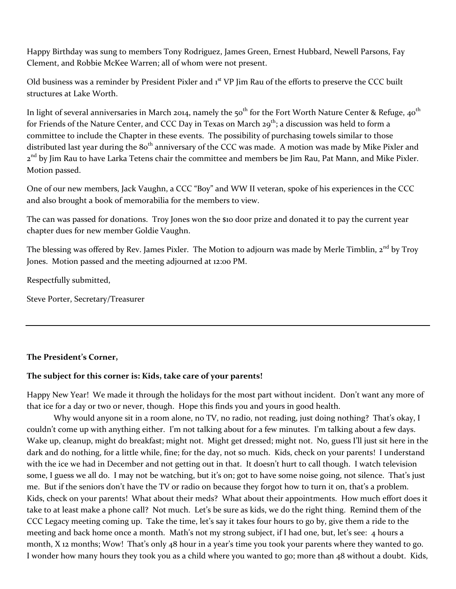Happy Birthday was sung to members Tony Rodriguez, James Green, Ernest Hubbard, Newell Parsons, Fay Clement, and Robbie McKee Warren; all of whom were not present.

Old business was a reminder by President Pixler and 1<sup>st</sup> VP Jim Rau of the efforts to preserve the CCC built structures at Lake Worth.

In light of several anniversaries in March 2014, namely the 50<sup>th</sup> for the Fort Worth Nature Center & Refuge, 40<sup>th</sup> for Friends of the Nature Center, and CCC Day in Texas on March 29<sup>th</sup>; a discussion was held to form a committee to include the Chapter in these events. The possibility of purchasing towels similar to those distributed last year during the  $80<sup>th</sup>$  anniversary of the CCC was made. A motion was made by Mike Pixler and 2<sup>nd</sup> by Jim Rau to have Larka Tetens chair the committee and members be Jim Rau, Pat Mann, and Mike Pixler. Motion passed.

One of our new members, Jack Vaughn, a CCC "Boy" and WW II veteran, spoke of his experiences in the CCC and also brought a book of memorabilia for the members to view.

The can was passed for donations. Troy Jones won the \$10 door prize and donated it to pay the current year chapter dues for new member Goldie Vaughn.

The blessing was offered by Rev. James Pixler. The Motion to adjourn was made by Merle Timblin,  $2^{nd}$  by Troy Jones. Motion passed and the meeting adjourned at 12:00 PM.

Respectfully submitted,

Steve Porter, Secretary/Treasurer

## **The President's Corner,**

## **The subject for this corner is: Kids, take care of your parents!**

Happy New Year! We made it through the holidays for the most part without incident. Don't want any more of that ice for a day or two or never, though. Hope this finds you and yours in good health.

Why would anyone sit in a room alone, no TV, no radio, not reading, just doing nothing? That's okay, I couldn't come up with anything either. I'm not talking about for a few minutes. I'm talking about a few days. Wake up, cleanup, might do breakfast; might not. Might get dressed; might not. No, guess I'll just sit here in the dark and do nothing, for a little while, fine; for the day, not so much. Kids, check on your parents! I understand with the ice we had in December and not getting out in that. It doesn't hurt to call though. I watch television some, I guess we all do. I may not be watching, but it's on; got to have some noise going, not silence. That's just me. But if the seniors don't have the TV or radio on because they forgot how to turn it on, that's a problem. Kids, check on your parents! What about their meds? What about their appointments. How much effort does it take to at least make a phone call? Not much. Let's be sure as kids, we do the right thing. Remind them of the CCC Legacy meeting coming up. Take the time, let's say it takes four hours to go by, give them a ride to the meeting and back home once a month. Math's not my strong subject, if I had one, but, let's see: 4 hours a month, X 12 months; Wow! That's only 48 hour in a year's time you took your parents where they wanted to go. I wonder how many hours they took you as a child where you wanted to go; more than 48 without a doubt. Kids,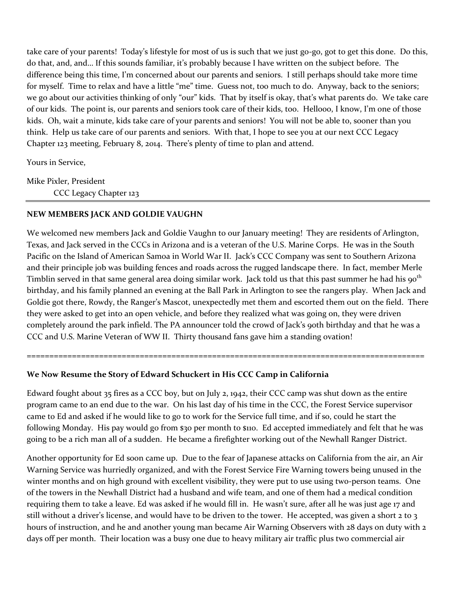take care of your parents! Today's lifestyle for most of us is such that we just go-go, got to get this done. Do this, do that, and, and… If this sounds familiar, it's probably because I have written on the subject before. The difference being this time, I'm concerned about our parents and seniors. I still perhaps should take more time for myself. Time to relax and have a little "me" time. Guess not, too much to do. Anyway, back to the seniors; we go about our activities thinking of only "our" kids. That by itself is okay, that's what parents do. We take care of our kids. The point is, our parents and seniors took care of their kids, too. Hellooo, I know, I'm one of those kids. Oh, wait a minute, kids take care of your parents and seniors! You will not be able to, sooner than you think. Help us take care of our parents and seniors. With that, I hope to see you at our next CCC Legacy Chapter 123 meeting, February 8, 2014. There's plenty of time to plan and attend.

Yours in Service,

Mike Pixler, President CCC Legacy Chapter 123

## **NEW MEMBERS JACK AND GOLDIE VAUGHN**

We welcomed new members Jack and Goldie Vaughn to our January meeting! They are residents of Arlington, Texas, and Jack served in the CCCs in Arizona and is a veteran of the U.S. Marine Corps. He was in the South Pacific on the Island of American Samoa in World War II. Jack's CCC Company was sent to Southern Arizona and their principle job was building fences and roads across the rugged landscape there. In fact, member Merle Timblin served in that same general area doing similar work. Jack told us that this past summer he had his 90<sup>th</sup> birthday, and his family planned an evening at the Ball Park in Arlington to see the rangers play. When Jack and Goldie got there, Rowdy, the Ranger's Mascot, unexpectedly met them and escorted them out on the field. There they were asked to get into an open vehicle, and before they realized what was going on, they were driven completely around the park infield. The PA announcer told the crowd of Jack's 90th birthday and that he was a CCC and U.S. Marine Veteran of WW II. Thirty thousand fans gave him a standing ovation!

# **We Now Resume the Story of Edward Schuckert in His CCC Camp in California**

Edward fought about 35 fires as a CCC boy, but on July 2, 1942, their CCC camp was shut down as the entire program came to an end due to the war. On his last day of his time in the CCC, the Forest Service supervisor came to Ed and asked if he would like to go to work for the Service full time, and if so, could he start the following Monday. His pay would go from \$30 per month to \$110. Ed accepted immediately and felt that he was going to be a rich man all of a sudden. He became a firefighter working out of the Newhall Ranger District.

========================================================================================

Another opportunity for Ed soon came up. Due to the fear of Japanese attacks on California from the air, an Air Warning Service was hurriedly organized, and with the Forest Service Fire Warning towers being unused in the winter months and on high ground with excellent visibility, they were put to use using two-person teams. One of the towers in the Newhall District had a husband and wife team, and one of them had a medical condition requiring them to take a leave. Ed was asked if he would fill in. He wasn't sure, after all he was just age 17 and still without a driver's license, and would have to be driven to the tower. He accepted, was given a short 2 to 3 hours of instruction, and he and another young man became Air Warning Observers with 28 days on duty with 2 days off per month. Their location was a busy one due to heavy military air traffic plus two commercial air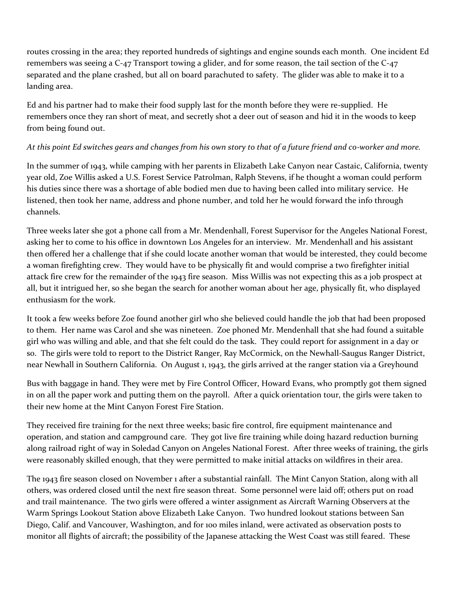routes crossing in the area; they reported hundreds of sightings and engine sounds each month. One incident Ed remembers was seeing a C-47 Transport towing a glider, and for some reason, the tail section of the C-47 separated and the plane crashed, but all on board parachuted to safety. The glider was able to make it to a landing area.

Ed and his partner had to make their food supply last for the month before they were re-supplied. He remembers once they ran short of meat, and secretly shot a deer out of season and hid it in the woods to keep from being found out.

## *At this point Ed switches gears and changes from his own story to that of a future friend and co-worker and more.*

In the summer of 1943, while camping with her parents in Elizabeth Lake Canyon near Castaic, California, twenty year old, Zoe Willis asked a U.S. Forest Service Patrolman, Ralph Stevens, if he thought a woman could perform his duties since there was a shortage of able bodied men due to having been called into military service. He listened, then took her name, address and phone number, and told her he would forward the info through channels.

Three weeks later she got a phone call from a Mr. Mendenhall, Forest Supervisor for the Angeles National Forest, asking her to come to his office in downtown Los Angeles for an interview. Mr. Mendenhall and his assistant then offered her a challenge that if she could locate another woman that would be interested, they could become a woman firefighting crew. They would have to be physically fit and would comprise a two firefighter initial attack fire crew for the remainder of the 1943 fire season. Miss Willis was not expecting this as a job prospect at all, but it intrigued her, so she began the search for another woman about her age, physically fit, who displayed enthusiasm for the work.

It took a few weeks before Zoe found another girl who she believed could handle the job that had been proposed to them. Her name was Carol and she was nineteen. Zoe phoned Mr. Mendenhall that she had found a suitable girl who was willing and able, and that she felt could do the task. They could report for assignment in a day or so. The girls were told to report to the District Ranger, Ray McCormick, on the Newhall-Saugus Ranger District, near Newhall in Southern California. On August 1, 1943, the girls arrived at the ranger station via a Greyhound

Bus with baggage in hand. They were met by Fire Control Officer, Howard Evans, who promptly got them signed in on all the paper work and putting them on the payroll. After a quick orientation tour, the girls were taken to their new home at the Mint Canyon Forest Fire Station.

They received fire training for the next three weeks; basic fire control, fire equipment maintenance and operation, and station and campground care. They got live fire training while doing hazard reduction burning along railroad right of way in Soledad Canyon on Angeles National Forest. After three weeks of training, the girls were reasonably skilled enough, that they were permitted to make initial attacks on wildfires in their area.

The 1943 fire season closed on November 1 after a substantial rainfall. The Mint Canyon Station, along with all others, was ordered closed until the next fire season threat. Some personnel were laid off; others put on road and trail maintenance. The two girls were offered a winter assignment as Aircraft Warning Observers at the Warm Springs Lookout Station above Elizabeth Lake Canyon. Two hundred lookout stations between San Diego, Calif. and Vancouver, Washington, and for 100 miles inland, were activated as observation posts to monitor all flights of aircraft; the possibility of the Japanese attacking the West Coast was still feared. These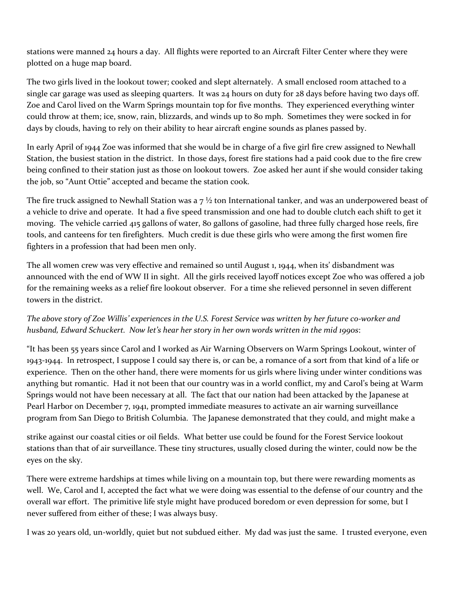stations were manned 24 hours a day. All flights were reported to an Aircraft Filter Center where they were plotted on a huge map board.

The two girls lived in the lookout tower; cooked and slept alternately. A small enclosed room attached to a single car garage was used as sleeping quarters. It was 24 hours on duty for 28 days before having two days off. Zoe and Carol lived on the Warm Springs mountain top for five months. They experienced everything winter could throw at them; ice, snow, rain, blizzards, and winds up to 80 mph. Sometimes they were socked in for days by clouds, having to rely on their ability to hear aircraft engine sounds as planes passed by.

In early April of 1944 Zoe was informed that she would be in charge of a five girl fire crew assigned to Newhall Station, the busiest station in the district. In those days, forest fire stations had a paid cook due to the fire crew being confined to their station just as those on lookout towers. Zoe asked her aunt if she would consider taking the job, so "Aunt Ottie" accepted and became the station cook.

The fire truck assigned to Newhall Station was a  $7\frac{1}{2}$  ton International tanker, and was an underpowered beast of a vehicle to drive and operate. It had a five speed transmission and one had to double clutch each shift to get it moving. The vehicle carried 415 gallons of water, 80 gallons of gasoline, had three fully charged hose reels, fire tools, and canteens for ten firefighters. Much credit is due these girls who were among the first women fire fighters in a profession that had been men only.

The all women crew was very effective and remained so until August 1, 1944, when its' disbandment was announced with the end of WW II in sight. All the girls received layoff notices except Zoe who was offered a job for the remaining weeks as a relief fire lookout observer. For a time she relieved personnel in seven different towers in the district.

# *The above story of Zoe Willis' experiences in the U.S. Forest Service was written by her future co-worker and husband, Edward Schuckert. Now let's hear her story in her own words written in the mid 1990s*:

"It has been 55 years since Carol and I worked as Air Warning Observers on Warm Springs Lookout, winter of 1943-1944. In retrospect, I suppose I could say there is, or can be, a romance of a sort from that kind of a life or experience. Then on the other hand, there were moments for us girls where living under winter conditions was anything but romantic. Had it not been that our country was in a world conflict, my and Carol's being at Warm Springs would not have been necessary at all. The fact that our nation had been attacked by the Japanese at Pearl Harbor on December 7, 1941, prompted immediate measures to activate an air warning surveillance program from San Diego to British Columbia. The Japanese demonstrated that they could, and might make a

strike against our coastal cities or oil fields. What better use could be found for the Forest Service lookout stations than that of air surveillance. These tiny structures, usually closed during the winter, could now be the eyes on the sky.

There were extreme hardships at times while living on a mountain top, but there were rewarding moments as well. We, Carol and I, accepted the fact what we were doing was essential to the defense of our country and the overall war effort. The primitive life style might have produced boredom or even depression for some, but I never suffered from either of these; I was always busy.

I was 20 years old, un-worldly, quiet but not subdued either. My dad was just the same. I trusted everyone, even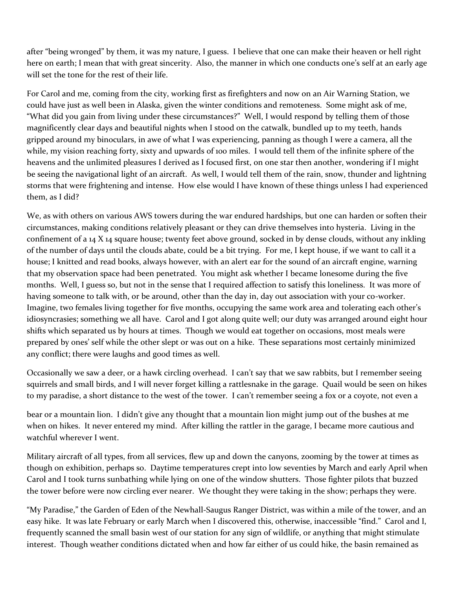after "being wronged" by them, it was my nature, I guess. I believe that one can make their heaven or hell right here on earth; I mean that with great sincerity. Also, the manner in which one conducts one's self at an early age will set the tone for the rest of their life.

For Carol and me, coming from the city, working first as firefighters and now on an Air Warning Station, we could have just as well been in Alaska, given the winter conditions and remoteness. Some might ask of me, "What did you gain from living under these circumstances?" Well, I would respond by telling them of those magnificently clear days and beautiful nights when I stood on the catwalk, bundled up to my teeth, hands gripped around my binoculars, in awe of what I was experiencing, panning as though I were a camera, all the while, my vision reaching forty, sixty and upwards of 100 miles. I would tell them of the infinite sphere of the heavens and the unlimited pleasures I derived as I focused first, on one star then another, wondering if I might be seeing the navigational light of an aircraft. As well, I would tell them of the rain, snow, thunder and lightning storms that were frightening and intense. How else would I have known of these things unless I had experienced them, as I did?

We, as with others on various AWS towers during the war endured hardships, but one can harden or soften their circumstances, making conditions relatively pleasant or they can drive themselves into hysteria. Living in the confinement of a 14 X 14 square house; twenty feet above ground, socked in by dense clouds, without any inkling of the number of days until the clouds abate, could be a bit trying. For me, I kept house, if we want to call it a house; I knitted and read books, always however, with an alert ear for the sound of an aircraft engine, warning that my observation space had been penetrated. You might ask whether I became lonesome during the five months. Well, I guess so, but not in the sense that I required affection to satisfy this loneliness. It was more of having someone to talk with, or be around, other than the day in, day out association with your co-worker. Imagine, two females living together for five months, occupying the same work area and tolerating each other's idiosyncrasies; something we all have. Carol and I got along quite well; our duty was arranged around eight hour shifts which separated us by hours at times. Though we would eat together on occasions, most meals were prepared by ones' self while the other slept or was out on a hike. These separations most certainly minimized any conflict; there were laughs and good times as well.

Occasionally we saw a deer, or a hawk circling overhead. I can't say that we saw rabbits, but I remember seeing squirrels and small birds, and I will never forget killing a rattlesnake in the garage. Quail would be seen on hikes to my paradise, a short distance to the west of the tower. I can't remember seeing a fox or a coyote, not even a

bear or a mountain lion. I didn't give any thought that a mountain lion might jump out of the bushes at me when on hikes. It never entered my mind. After killing the rattler in the garage, I became more cautious and watchful wherever I went.

Military aircraft of all types, from all services, flew up and down the canyons, zooming by the tower at times as though on exhibition, perhaps so. Daytime temperatures crept into low seventies by March and early April when Carol and I took turns sunbathing while lying on one of the window shutters. Those fighter pilots that buzzed the tower before were now circling ever nearer. We thought they were taking in the show; perhaps they were.

"My Paradise," the Garden of Eden of the Newhall-Saugus Ranger District, was within a mile of the tower, and an easy hike. It was late February or early March when I discovered this, otherwise, inaccessible "find." Carol and I, frequently scanned the small basin west of our station for any sign of wildlife, or anything that might stimulate interest. Though weather conditions dictated when and how far either of us could hike, the basin remained as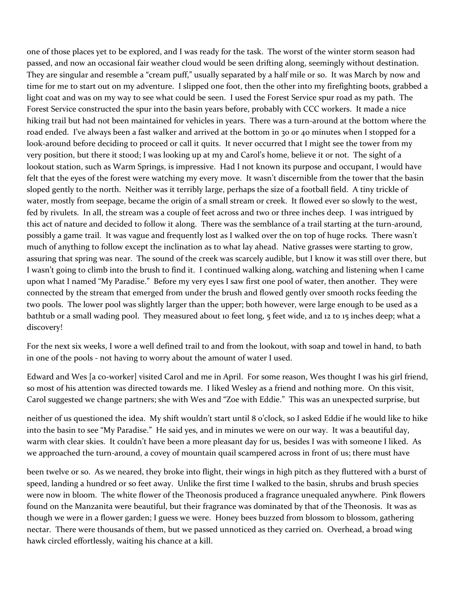one of those places yet to be explored, and I was ready for the task. The worst of the winter storm season had passed, and now an occasional fair weather cloud would be seen drifting along, seemingly without destination. They are singular and resemble a "cream puff," usually separated by a half mile or so. It was March by now and time for me to start out on my adventure. I slipped one foot, then the other into my firefighting boots, grabbed a light coat and was on my way to see what could be seen. I used the Forest Service spur road as my path. The Forest Service constructed the spur into the basin years before, probably with CCC workers. It made a nice hiking trail but had not been maintained for vehicles in years. There was a turn-around at the bottom where the road ended. I've always been a fast walker and arrived at the bottom in 30 or 40 minutes when I stopped for a look-around before deciding to proceed or call it quits. It never occurred that I might see the tower from my very position, but there it stood; I was looking up at my and Carol's home, believe it or not. The sight of a lookout station, such as Warm Springs, is impressive. Had I not known its purpose and occupant, I would have felt that the eyes of the forest were watching my every move. It wasn't discernible from the tower that the basin sloped gently to the north. Neither was it terribly large, perhaps the size of a football field. A tiny trickle of water, mostly from seepage, became the origin of a small stream or creek. It flowed ever so slowly to the west, fed by rivulets. In all, the stream was a couple of feet across and two or three inches deep. I was intrigued by this act of nature and decided to follow it along. There was the semblance of a trail starting at the turn-around, possibly a game trail. It was vague and frequently lost as I walked over the on top of huge rocks. There wasn't much of anything to follow except the inclination as to what lay ahead. Native grasses were starting to grow, assuring that spring was near. The sound of the creek was scarcely audible, but I know it was still over there, but I wasn't going to climb into the brush to find it. I continued walking along, watching and listening when I came upon what I named "My Paradise." Before my very eyes I saw first one pool of water, then another. They were connected by the stream that emerged from under the brush and flowed gently over smooth rocks feeding the two pools. The lower pool was slightly larger than the upper; both however, were large enough to be used as a bathtub or a small wading pool. They measured about 10 feet long, 5 feet wide, and 12 to 15 inches deep; what a discovery!

For the next six weeks, I wore a well defined trail to and from the lookout, with soap and towel in hand, to bath in one of the pools - not having to worry about the amount of water I used.

Edward and Wes [a co-worker] visited Carol and me in April. For some reason, Wes thought I was his girl friend, so most of his attention was directed towards me. I liked Wesley as a friend and nothing more. On this visit, Carol suggested we change partners; she with Wes and "Zoe with Eddie." This was an unexpected surprise, but

neither of us questioned the idea. My shift wouldn't start until 8 o'clock, so I asked Eddie if he would like to hike into the basin to see "My Paradise." He said yes, and in minutes we were on our way. It was a beautiful day, warm with clear skies. It couldn't have been a more pleasant day for us, besides I was with someone I liked. As we approached the turn-around, a covey of mountain quail scampered across in front of us; there must have

been twelve or so. As we neared, they broke into flight, their wings in high pitch as they fluttered with a burst of speed, landing a hundred or so feet away. Unlike the first time I walked to the basin, shrubs and brush species were now in bloom. The white flower of the Theonosis produced a fragrance unequaled anywhere. Pink flowers found on the Manzanita were beautiful, but their fragrance was dominated by that of the Theonosis. It was as though we were in a flower garden; I guess we were. Honey bees buzzed from blossom to blossom, gathering nectar. There were thousands of them, but we passed unnoticed as they carried on. Overhead, a broad wing hawk circled effortlessly, waiting his chance at a kill.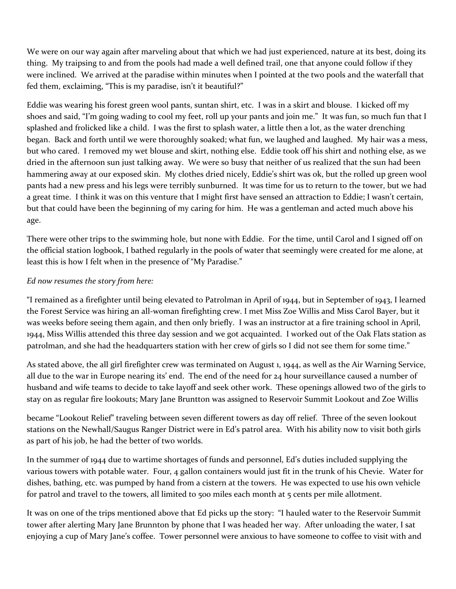We were on our way again after marveling about that which we had just experienced, nature at its best, doing its thing. My traipsing to and from the pools had made a well defined trail, one that anyone could follow if they were inclined. We arrived at the paradise within minutes when I pointed at the two pools and the waterfall that fed them, exclaiming, "This is my paradise, isn't it beautiful?"

Eddie was wearing his forest green wool pants, suntan shirt, etc. I was in a skirt and blouse. I kicked off my shoes and said, "I'm going wading to cool my feet, roll up your pants and join me." It was fun, so much fun that I splashed and frolicked like a child. I was the first to splash water, a little then a lot, as the water drenching began. Back and forth until we were thoroughly soaked; what fun, we laughed and laughed. My hair was a mess, but who cared. I removed my wet blouse and skirt, nothing else. Eddie took off his shirt and nothing else, as we dried in the afternoon sun just talking away. We were so busy that neither of us realized that the sun had been hammering away at our exposed skin. My clothes dried nicely, Eddie's shirt was ok, but the rolled up green wool pants had a new press and his legs were terribly sunburned. It was time for us to return to the tower, but we had a great time. I think it was on this venture that I might first have sensed an attraction to Eddie; I wasn't certain, but that could have been the beginning of my caring for him. He was a gentleman and acted much above his age.

There were other trips to the swimming hole, but none with Eddie. For the time, until Carol and I signed off on the official station logbook, I bathed regularly in the pools of water that seemingly were created for me alone, at least this is how I felt when in the presence of "My Paradise."

## *Ed now resumes the story from here:*

"I remained as a firefighter until being elevated to Patrolman in April of 1944, but in September of 1943, I learned the Forest Service was hiring an all-woman firefighting crew. I met Miss Zoe Willis and Miss Carol Bayer, but it was weeks before seeing them again, and then only briefly. I was an instructor at a fire training school in April, 1944, Miss Willis attended this three day session and we got acquainted. I worked out of the Oak Flats station as patrolman, and she had the headquarters station with her crew of girls so I did not see them for some time."

As stated above, the all girl firefighter crew was terminated on August 1, 1944, as well as the Air Warning Service, all due to the war in Europe nearing its' end. The end of the need for 24 hour surveillance caused a number of husband and wife teams to decide to take layoff and seek other work. These openings allowed two of the girls to stay on as regular fire lookouts; Mary Jane Bruntton was assigned to Reservoir Summit Lookout and Zoe Willis

became "Lookout Relief" traveling between seven different towers as day off relief. Three of the seven lookout stations on the Newhall/Saugus Ranger District were in Ed's patrol area. With his ability now to visit both girls as part of his job, he had the better of two worlds.

In the summer of 1944 due to wartime shortages of funds and personnel, Ed's duties included supplying the various towers with potable water. Four, 4 gallon containers would just fit in the trunk of his Chevie. Water for dishes, bathing, etc. was pumped by hand from a cistern at the towers. He was expected to use his own vehicle for patrol and travel to the towers, all limited to 500 miles each month at 5 cents per mile allotment.

It was on one of the trips mentioned above that Ed picks up the story: "I hauled water to the Reservoir Summit tower after alerting Mary Jane Brunnton by phone that I was headed her way. After unloading the water, I sat enjoying a cup of Mary Jane's coffee. Tower personnel were anxious to have someone to coffee to visit with and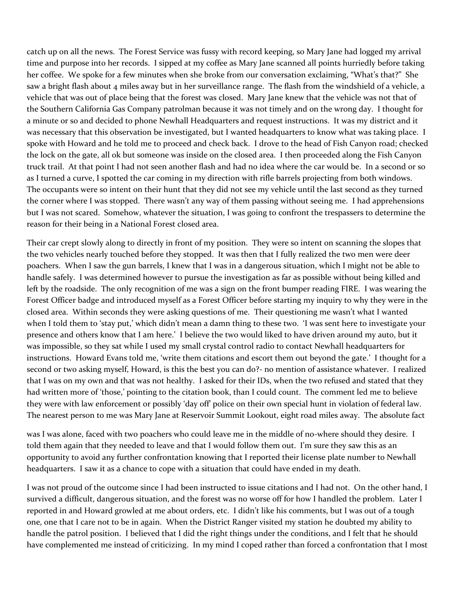catch up on all the news. The Forest Service was fussy with record keeping, so Mary Jane had logged my arrival time and purpose into her records. I sipped at my coffee as Mary Jane scanned all points hurriedly before taking her coffee. We spoke for a few minutes when she broke from our conversation exclaiming, "What's that?" She saw a bright flash about 4 miles away but in her surveillance range. The flash from the windshield of a vehicle, a vehicle that was out of place being that the forest was closed. Mary Jane knew that the vehicle was not that of the Southern California Gas Company patrolman because it was not timely and on the wrong day. I thought for a minute or so and decided to phone Newhall Headquarters and request instructions. It was my district and it was necessary that this observation be investigated, but I wanted headquarters to know what was taking place. I spoke with Howard and he told me to proceed and check back. I drove to the head of Fish Canyon road; checked the lock on the gate, all ok but someone was inside on the closed area. I then proceeded along the Fish Canyon truck trail. At that point I had not seen another flash and had no idea where the car would be. In a second or so as I turned a curve, I spotted the car coming in my direction with rifle barrels projecting from both windows. The occupants were so intent on their hunt that they did not see my vehicle until the last second as they turned the corner where I was stopped. There wasn't any way of them passing without seeing me. I had apprehensions but I was not scared. Somehow, whatever the situation, I was going to confront the trespassers to determine the reason for their being in a National Forest closed area.

Their car crept slowly along to directly in front of my position. They were so intent on scanning the slopes that the two vehicles nearly touched before they stopped. It was then that I fully realized the two men were deer poachers. When I saw the gun barrels, I knew that I was in a dangerous situation, which I might not be able to handle safely. I was determined however to pursue the investigation as far as possible without being killed and left by the roadside. The only recognition of me was a sign on the front bumper reading FIRE. I was wearing the Forest Officer badge and introduced myself as a Forest Officer before starting my inquiry to why they were in the closed area. Within seconds they were asking questions of me. Their questioning me wasn't what I wanted when I told them to 'stay put,' which didn't mean a damn thing to these two. 'I was sent here to investigate your presence and others know that I am here.' I believe the two would liked to have driven around my auto, but it was impossible, so they sat while I used my small crystal control radio to contact Newhall headquarters for instructions. Howard Evans told me, 'write them citations and escort them out beyond the gate.' I thought for a second or two asking myself, Howard, is this the best you can do?- no mention of assistance whatever. I realized that I was on my own and that was not healthy. I asked for their IDs, when the two refused and stated that they had written more of 'those,' pointing to the citation book, than I could count. The comment led me to believe they were with law enforcement or possibly 'day off' police on their own special hunt in violation of federal law. The nearest person to me was Mary Jane at Reservoir Summit Lookout, eight road miles away. The absolute fact

was I was alone, faced with two poachers who could leave me in the middle of no-where should they desire. I told them again that they needed to leave and that I would follow them out. I'm sure they saw this as an opportunity to avoid any further confrontation knowing that I reported their license plate number to Newhall headquarters. I saw it as a chance to cope with a situation that could have ended in my death.

I was not proud of the outcome since I had been instructed to issue citations and I had not. On the other hand, I survived a difficult, dangerous situation, and the forest was no worse off for how I handled the problem. Later I reported in and Howard growled at me about orders, etc. I didn't like his comments, but I was out of a tough one, one that I care not to be in again. When the District Ranger visited my station he doubted my ability to handle the patrol position. I believed that I did the right things under the conditions, and I felt that he should have complemented me instead of criticizing. In my mind I coped rather than forced a confrontation that I most